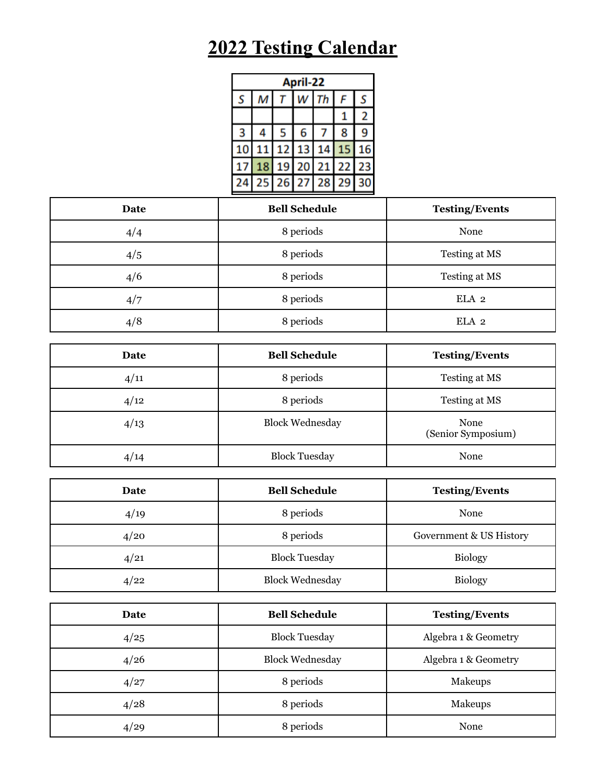## **2022 Testing Calendar**

| April-22 |   |   |             |                   |    |    |
|----------|---|---|-------------|-------------------|----|----|
| S        | М |   | w           | Th                | F  | S  |
|          |   |   |             |                   |    | 2  |
| 3        |   | 5 | 6           |                   | 8  | 9  |
| 10       |   |   |             | 11 12 13 14 15    |    | 16 |
|          |   |   | 18 19 20 21 |                   | 22 | 23 |
| 24       |   |   |             | 25 26 27 28 29 30 |    |    |

| Date | <b>Bell Schedule</b> | <b>Testing/Events</b> |
|------|----------------------|-----------------------|
| 4/4  | 8 periods            | None                  |
| 4/5  | 8 periods            | Testing at MS         |
| 4/6  | 8 periods            | Testing at MS         |
| 4/7  | 8 periods            | ELA 2                 |
| 4/8  | 8 periods            | ELA 2                 |

| Date | <b>Bell Schedule</b>   | <b>Testing/Events</b>      |
|------|------------------------|----------------------------|
| 4/11 | 8 periods              | Testing at MS              |
| 4/12 | 8 periods              | Testing at MS              |
| 4/13 | <b>Block Wednesday</b> | None<br>(Senior Symposium) |
| 4/14 | <b>Block Tuesday</b>   | None                       |

| Date | <b>Bell Schedule</b>   | <b>Testing/Events</b>   |
|------|------------------------|-------------------------|
| 4/19 | 8 periods              | None                    |
| 4/20 | 8 periods              | Government & US History |
| 4/21 | <b>Block Tuesday</b>   | <b>Biology</b>          |
| 4/22 | <b>Block Wednesday</b> | <b>Biology</b>          |

| Date | <b>Bell Schedule</b>   | <b>Testing/Events</b> |
|------|------------------------|-----------------------|
| 4/25 | <b>Block Tuesday</b>   | Algebra 1 & Geometry  |
| 4/26 | <b>Block Wednesday</b> | Algebra 1 & Geometry  |
| 4/27 | 8 periods              | Makeups               |
| 4/28 | 8 periods              | Makeups               |
| 4/29 | 8 periods              | None                  |